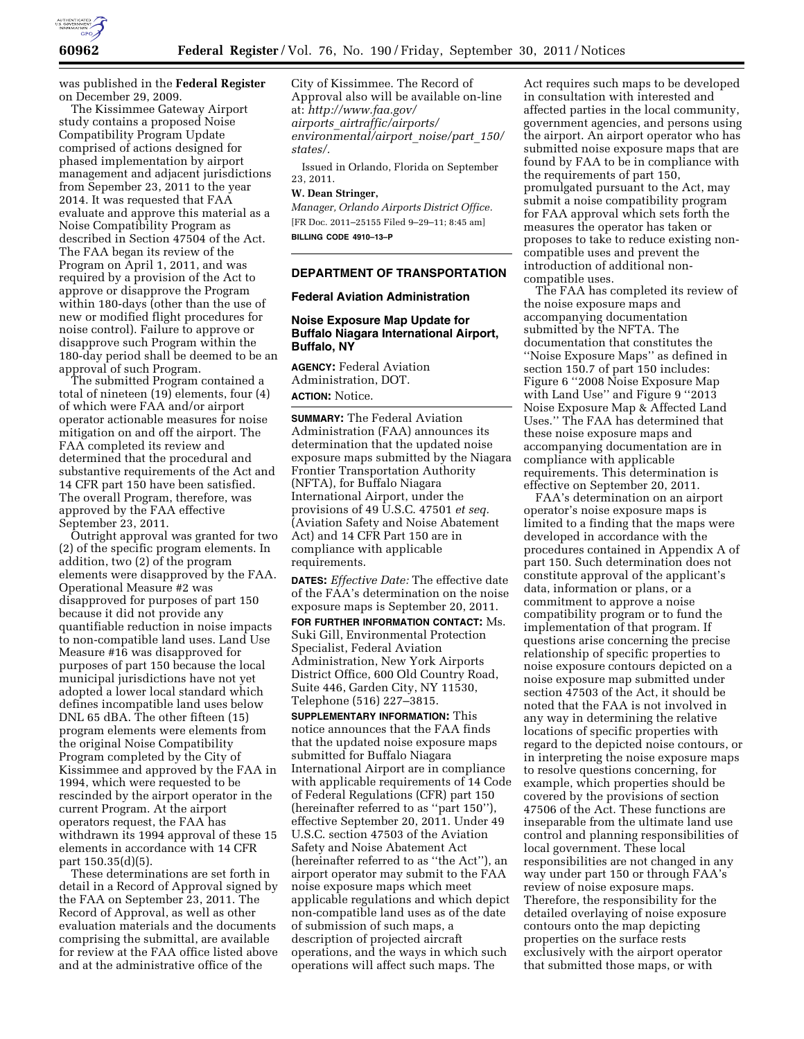

was published in the **Federal Register**  on December 29, 2009.

The Kissimmee Gateway Airport study contains a proposed Noise Compatibility Program Update comprised of actions designed for phased implementation by airport management and adjacent jurisdictions from Sepember 23, 2011 to the year 2014. It was requested that FAA evaluate and approve this material as a Noise Compatibility Program as described in Section 47504 of the Act. The FAA began its review of the Program on April 1, 2011, and was required by a provision of the Act to approve or disapprove the Program within 180-days (other than the use of new or modified flight procedures for noise control). Failure to approve or disapprove such Program within the 180-day period shall be deemed to be an approval of such Program.

The submitted Program contained a total of nineteen (19) elements, four (4) of which were FAA and/or airport operator actionable measures for noise mitigation on and off the airport. The FAA completed its review and determined that the procedural and substantive requirements of the Act and 14 CFR part 150 have been satisfied. The overall Program, therefore, was approved by the FAA effective September 23, 2011.

Outright approval was granted for two (2) of the specific program elements. In addition, two (2) of the program elements were disapproved by the FAA. Operational Measure #2 was disapproved for purposes of part 150 because it did not provide any quantifiable reduction in noise impacts to non-compatible land uses. Land Use Measure #16 was disapproved for purposes of part 150 because the local municipal jurisdictions have not yet adopted a lower local standard which defines incompatible land uses below DNL 65 dBA. The other fifteen (15) program elements were elements from the original Noise Compatibility Program completed by the City of Kissimmee and approved by the FAA in 1994, which were requested to be rescinded by the airport operator in the current Program. At the airport operators request, the FAA has withdrawn its 1994 approval of these 15 elements in accordance with 14 CFR part 150.35(d)(5).

These determinations are set forth in detail in a Record of Approval signed by the FAA on September 23, 2011. The Record of Approval, as well as other evaluation materials and the documents comprising the submittal, are available for review at the FAA office listed above and at the administrative office of the

City of Kissimmee. The Record of Approval also will be available on-line at: *[http://www.faa.gov/](http://www.faa.gov/airports_airtraffic/airports/environmental/airport_noise/part_150/states/) airports*\_*[airtraffic/airports/](http://www.faa.gov/airports_airtraffic/airports/environmental/airport_noise/part_150/states/) [environmental/airport](http://www.faa.gov/airports_airtraffic/airports/environmental/airport_noise/part_150/states/)*\_*noise/part*\_*150/ [states/.](http://www.faa.gov/airports_airtraffic/airports/environmental/airport_noise/part_150/states/)* 

Issued in Orlando, Florida on September 23, 2011.

## **W. Dean Stringer,**

*Manager, Orlando Airports District Office.*  [FR Doc. 2011–25155 Filed 9–29–11; 8:45 am] **BILLING CODE 4910–13–P** 

## **DEPARTMENT OF TRANSPORTATION**

#### **Federal Aviation Administration**

## **Noise Exposure Map Update for Buffalo Niagara International Airport, Buffalo, NY**

**AGENCY:** Federal Aviation Administration, DOT. **ACTION:** Notice.

**SUMMARY:** The Federal Aviation Administration (FAA) announces its determination that the updated noise exposure maps submitted by the Niagara Frontier Transportation Authority (NFTA), for Buffalo Niagara International Airport, under the provisions of 49 U.S.C. 47501 *et seq.*  (Aviation Safety and Noise Abatement Act) and 14 CFR Part 150 are in compliance with applicable requirements.

**DATES:** *Effective Date:* The effective date of the FAA's determination on the noise exposure maps is September 20, 2011. **FOR FURTHER INFORMATION CONTACT:** Ms. Suki Gill, Environmental Protection Specialist, Federal Aviation Administration, New York Airports District Office, 600 Old Country Road, Suite 446, Garden City, NY 11530, Telephone (516) 227–3815.

**SUPPLEMENTARY INFORMATION:** This notice announces that the FAA finds that the updated noise exposure maps submitted for Buffalo Niagara International Airport are in compliance with applicable requirements of 14 Code of Federal Regulations (CFR) part 150 (hereinafter referred to as ''part 150''), effective September 20, 2011. Under 49 U.S.C. section 47503 of the Aviation Safety and Noise Abatement Act (hereinafter referred to as ''the Act''), an airport operator may submit to the FAA noise exposure maps which meet applicable regulations and which depict non-compatible land uses as of the date of submission of such maps, a description of projected aircraft operations, and the ways in which such operations will affect such maps. The

Act requires such maps to be developed in consultation with interested and affected parties in the local community, government agencies, and persons using the airport. An airport operator who has submitted noise exposure maps that are found by FAA to be in compliance with the requirements of part 150, promulgated pursuant to the Act, may submit a noise compatibility program for FAA approval which sets forth the measures the operator has taken or proposes to take to reduce existing noncompatible uses and prevent the introduction of additional noncompatible uses.

The FAA has completed its review of the noise exposure maps and accompanying documentation submitted by the NFTA. The documentation that constitutes the ''Noise Exposure Maps'' as defined in section 150.7 of part 150 includes: Figure 6 ''2008 Noise Exposure Map with Land Use'' and Figure 9 ''2013 Noise Exposure Map & Affected Land Uses.'' The FAA has determined that these noise exposure maps and accompanying documentation are in compliance with applicable requirements. This determination is effective on September 20, 2011.

FAA's determination on an airport operator's noise exposure maps is limited to a finding that the maps were developed in accordance with the procedures contained in Appendix A of part 150. Such determination does not constitute approval of the applicant's data, information or plans, or a commitment to approve a noise compatibility program or to fund the implementation of that program. If questions arise concerning the precise relationship of specific properties to noise exposure contours depicted on a noise exposure map submitted under section 47503 of the Act, it should be noted that the FAA is not involved in any way in determining the relative locations of specific properties with regard to the depicted noise contours, or in interpreting the noise exposure maps to resolve questions concerning, for example, which properties should be covered by the provisions of section 47506 of the Act. These functions are inseparable from the ultimate land use control and planning responsibilities of local government. These local responsibilities are not changed in any way under part 150 or through FAA's review of noise exposure maps. Therefore, the responsibility for the detailed overlaying of noise exposure contours onto the map depicting properties on the surface rests exclusively with the airport operator that submitted those maps, or with